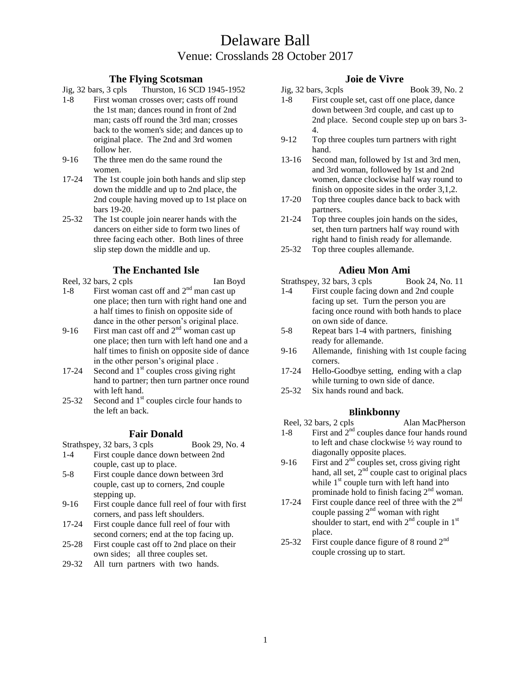# Delaware Ball Venue: Crosslands 28 October 2017

## **The Flying Scotsman**

Jig, 32 bars, 3 cpls Thurston, 16 SCD 1945-1952

- 1-8 First woman crosses over; casts off round the 1st man; dances round in front of 2nd man; casts off round the 3rd man; crosses back to the women's side; and dances up to original place. The 2nd and 3rd women follow her.
- 9-16 The three men do the same round the women.
- 17-24 The 1st couple join both hands and slip step down the middle and up to 2nd place, the 2nd couple having moved up to 1st place on bars 19-20.
- 25-32 The 1st couple join nearer hands with the dancers on either side to form two lines of three facing each other. Both lines of three slip step down the middle and up.

## **The Enchanted Isle**

- Reel, 32 bars, 2 cpls Ian Boyd 1-8 First woman cast off and  $2<sup>nd</sup>$  man cast up one place; then turn with right hand one and a half times to finish on opposite side of dance in the other person's original place.
- 9-16 First man cast off and  $2<sup>nd</sup>$  woman cast up one place; then turn with left hand one and a half times to finish on opposite side of dance in the other person's original place .
- 17-24 Second and  $1<sup>st</sup>$  couples cross giving right hand to partner; then turn partner once round with left hand.
- 25-32 Second and  $1<sup>st</sup>$  couples circle four hands to the left an back.

## **Fair Donald**

Strathspey, 32 bars, 3 cpls Book 29, No. 4

- 1-4 First couple dance down between 2nd couple, cast up to place.
- 5-8 First couple dance down between 3rd couple, cast up to corners, 2nd couple stepping up.
- 9-16 First couple dance full reel of four with first corners, and pass left shoulders.
- 17-24 First couple dance full reel of four with second corners; end at the top facing up.
- 25-28 First couple cast off to 2nd place on their own sides; all three couples set.
- 29-32 All turn partners with two hands.

## **Joie de Vivre**

- Jig, 32 bars, 3cpls Book 39, No. 2 1-8 First couple set, cast off one place, dance down between 3rd couple, and cast up to 2nd place. Second couple step up on bars 3- 4.
- 9-12 Top three couples turn partners with right hand.
- 13-16 Second man, followed by 1st and 3rd men, and 3rd woman, followed by 1st and 2nd women, dance clockwise half way round to finish on opposite sides in the order 3,1,2.
- 17-20 Top three couples dance back to back with partners.
- 21-24 Top three couples join hands on the sides, set, then turn partners half way round with right hand to finish ready for allemande.
- 25-32 Top three couples allemande.

## **Adieu Mon Ami**

Strathspey, 32 bars, 3 cpls Book 24, No. 11

- 1-4 First couple facing down and 2nd couple facing up set. Turn the person you are facing once round with both hands to place on own side of dance.
- 5-8 Repeat bars 1-4 with partners, finishing ready for allemande.
- 9-16 Allemande, finishing with 1st couple facing corners.
- 17-24 Hello-Goodbye setting, ending with a clap while turning to own side of dance.
- 25-32 Six hands round and back.

## **Blinkbonny**

- Reel, 32 bars, 2 cpls Alan MacPherson
- 1-8 First and  $2<sup>nd</sup>$  couples dance four hands round to left and chase clockwise ½ way round to diagonally opposite places.
- 9-16 First and  $2<sup>nd</sup>$  couples set, cross giving right hand, all set,  $2<sup>nd</sup>$  couple cast to original placs while  $1<sup>st</sup>$  couple turn with left hand into prominade hold to finish facing  $2<sup>nd</sup>$  woman.
- 17-24 First couple dance reel of three with the  $2<sup>nd</sup>$ couple passing  $2<sup>nd</sup>$  woman with right shoulder to start, end with  $2<sup>nd</sup>$  couple in  $1<sup>st</sup>$ place.
- 25-32 First couple dance figure of 8 round  $2<sup>nd</sup>$ couple crossing up to start.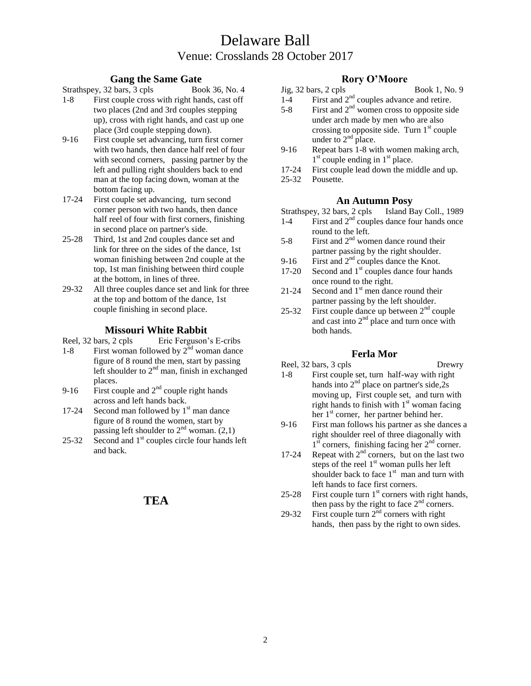# Delaware Ball Venue: Crosslands 28 October 2017

## **Gang the Same Gate**

- Strathspey, 32 bars, 3 cpls Book 36, No. 4 1-8 First couple cross with right hands, cast off two places (2nd and 3rd couples stepping up), cross with right hands, and cast up one place (3rd couple stepping down).
- 9-16 First couple set advancing, turn first corner with two hands, then dance half reel of four with second corners, passing partner by the left and pulling right shoulders back to end man at the top facing down, woman at the bottom facing up.
- 17-24 First couple set advancing, turn second corner person with two hands, then dance half reel of four with first corners, finishing in second place on partner's side.
- 25-28 Third, 1st and 2nd couples dance set and link for three on the sides of the dance, 1st woman finishing between 2nd couple at the top, 1st man finishing between third couple at the bottom, in lines of three.
- 29-32 All three couples dance set and link for three at the top and bottom of the dance, 1st couple finishing in second place.

## **Missouri White Rabbit**

Reel, 32 bars, 2 cpls Eric Ferguson's E-cribs

- 1-8 First woman followed by  $2<sup>nd</sup>$  woman dance figure of 8 round the men, start by passing left shoulder to  $2<sup>nd</sup>$  man, finish in exchanged places.
- 9-16 First couple and  $2<sup>nd</sup>$  couple right hands across and left hands back.
- 17-24 Second man followed by  $1<sup>st</sup>$  man dance figure of 8 round the women, start by passing left shoulder to  $2<sup>nd</sup>$  woman. (2,1)
- 25-32 Second and  $1<sup>st</sup>$  couples circle four hands left and back.

## **TEA**

## **Rory O'Moore**

- Jig, 32 bars, 2 cpls Book 1, No. 9
- $1-4$  First and  $2<sup>nd</sup>$  couples advance and retire.
- 5-8 First and  $2<sup>nd</sup>$  women cross to opposite side under arch made by men who are also crossing to opposite side. Turn  $1<sup>st</sup>$  couple under to  $2<sup>nd</sup>$  place.
- 9-16 Repeat bars 1-8 with women making arch,  $1<sup>st</sup>$  couple ending in  $1<sup>st</sup>$  place.
- 17-24 First couple lead down the middle and up.
- 25-32 Pousette.

**An Autumn Posy** Strathspey, 32 bars, 2 cpls.

- 1-4 First and 2<sup>nd</sup> couples dance four hands once round to the left.
- 5-8 First and  $2<sup>nd</sup>$  women dance round their partner passing by the right shoulder.
- 9-16 First and  $2<sup>nd</sup>$  couples dance the Knot.
- 17-20 Second and  $1<sup>st</sup>$  couples dance four hands once round to the right.
- 21-24 Second and  $1<sup>st</sup>$  men dance round their partner passing by the left shoulder.
- 25-32 First couple dance up between  $2<sup>nd</sup>$  couple and cast into  $2<sup>nd</sup>$  place and turn once with both hands.

## **Ferla Mor**

### Reel, 32 bars, 3 cpls Drewry 1-8 First couple set, turn half-way with right hands into  $2<sup>nd</sup>$  place on partner's side, $2<sub>s</sub>$ moving up, First couple set, and turn with right hands to finish with  $1<sup>st</sup>$  woman facing her 1<sup>st</sup> corner, her partner behind her.

- 9-16 First man follows his partner as she dances a right shoulder reel of three diagonally with 1<sup>st</sup> corners, finishing facing her 2<sup>nd</sup> corner.
- 17-24 Repeat with  $2<sup>nd</sup>$  corners, but on the last two steps of the reel  $1<sup>st</sup>$  woman pulls her left shoulder back to face  $1<sup>st</sup>$  man and turn with left hands to face first corners.
- 25-28 First couple turn  $1<sup>st</sup>$  corners with right hands, then pass by the right to face  $2<sup>nd</sup>$  corners.
- 29-32 First couple turn  $2<sup>nd</sup>$  corners with right hands, then pass by the right to own sides.